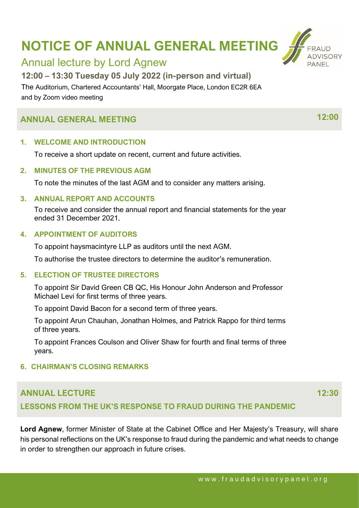# **NOTICE OF ANNUAL GENERAL MEETING**



### Annual lecture by Lord Agnew

**12:00 – 13:30 Tuesday 05 July 2022 (in-person and virtual)**

The Auditorium, Chartered Accountants' Hall, Moorgate Place, London EC2R 6EA and by Zoom video meeting

## **ANNUAL GENERAL MEETING 12:00**

#### **1. WELCOME AND INTRODUCTION**

To receive a short update on recent, current and future activities.

#### **2. MINUTES OF THE PREVIOUS AGM**

To note the minutes of the last AGM and to consider any matters arising.

#### **3. ANNUAL REPORT AND ACCOUNTS**

To receive and consider the annual report and financial statements for the year ended 31 December 2021.

#### **4. APPOINTMENT OF AUDITORS**

To appoint haysmacintyre LLP as auditors until the next AGM.

To authorise the trustee directors to determine the auditor's remuneration.

#### **5. ELECTION OF TRUSTEE DIRECTORS**

To appoint Sir David Green CB QC, His Honour John Anderson and Professor Michael Levi for first terms of three years.

To appoint David Bacon for a second term of three years.

To appoint Arun Chauhan, Jonathan Holmes, and Patrick Rappo for third terms of three years.

To appoint Frances Coulson and Oliver Shaw for fourth and final terms of three years.

#### **6. CHAIRMAN'S CLOSING REMARKS**

### **ANNUAL LECTURE**

**12:30**

#### **LESSONS FROM THE UK'S RESPONSE TO FRAUD DURING THE PANDEMIC**

**Lord Agnew**, former Minister of State at the Cabinet Office and Her Majesty's Treasury, will share his personal reflections on the UK's response to fraud during the pandemic and what needs to change in order to strengthen our approach in future crises.